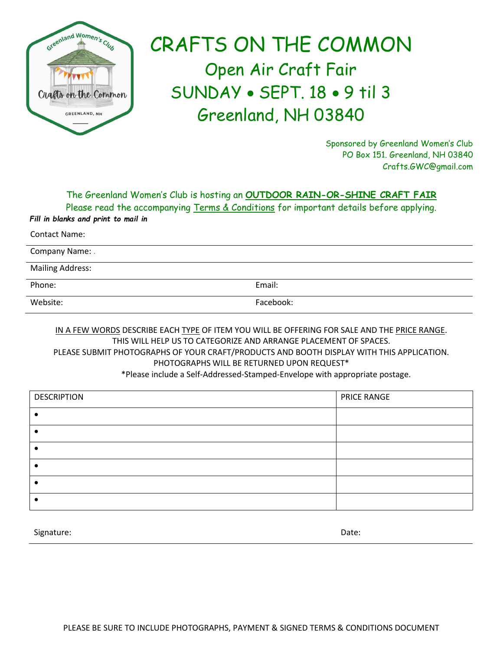

## CRAFTS ON THE COMMON Open Air Craft Fair SUNDAY • SEPT. 18 • 9 til 3 Greenland, NH 03840

Sponsored by Greenland Women's Club PO Box 151. Greenland, NH 03840 Crafts.GWC@gmail.com

The Greenland Women's Club is hosting an **OUTDOOR RAIN-OR-SHINE CRAFT FAIR**

Please read the accompanying Terms & Conditions for important details before applying. *Fill in blanks and print to mail in*

Contact Name:

Company Name: .

Mailing Address:

Phone: Email: Email: Email: Email: Email: Email: Email: Email: Email: Email: Email: Email: Email: Email: Email: Email: Email: Email: Email: Email: Email: Email: Email: Email: Email: Email: Email: Email: Email: Email: Email

Website: Facebook:

IN A FEW WORDS DESCRIBE EACH TYPE OF ITEM YOU WILL BE OFFERING FOR SALE AND THE PRICE RANGE. THIS WILL HELP US TO CATEGORIZE AND ARRANGE PLACEMENT OF SPACES. PLEASE SUBMIT PHOTOGRAPHS OF YOUR CRAFT/PRODUCTS AND BOOTH DISPLAY WITH THIS APPLICATION. PHOTOGRAPHS WILL BE RETURNED UPON REQUEST\*

\*Please include a Self-Addressed-Stamped-Envelope with appropriate postage.

| <b>DESCRIPTION</b> | PRICE RANGE |
|--------------------|-------------|
|                    |             |
|                    |             |
|                    |             |
|                    |             |
|                    |             |
|                    |             |

Signature: Date: Date: Date: Date: Date: Date: Date: Date: Date: Date: Date: Date: Date: Date: Date: Date: Date: Date: Date: Date: Date: Date: Date: Date: Date: Date: Date: Date: Date: Date: Date: Date: Date: Date: Date: D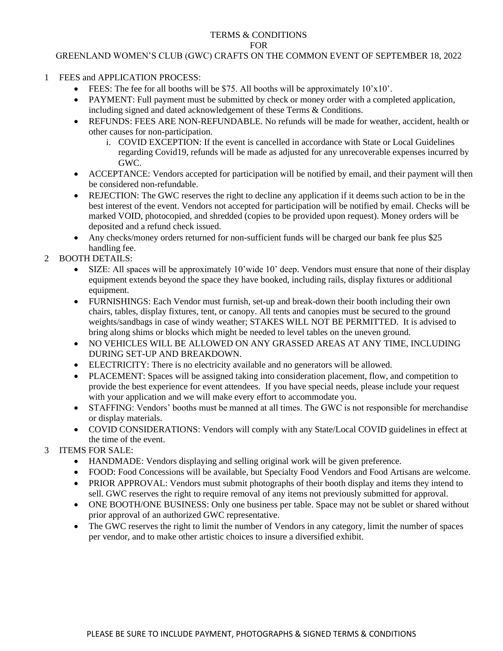## TERMS & CONDITIONS FOR

## GREENLAND WOMEN'S CLUB (GWC) CRAFTS ON THE COMMON EVENT OF SEPTEMBER 18, 2022

- 1 FEES and APPLICATION PROCESS:
	- FEES: The fee for all booths will be \$75. All booths will be approximately  $10'x10'$ .
	- PAYMENT: Full payment must be submitted by check or money order with a completed application, including signed and dated acknowledgement of these Terms & Conditions.
	- REFUNDS: FEES ARE NON-REFUNDABLE. No refunds will be made for weather, accident, health or other causes for non-participation.
		- i. COVID EXCEPTION: If the event is cancelled in accordance with State or Local Guidelines regarding Covid19, refunds will be made as adjusted for any unrecoverable expenses incurred by GWC.
	- ACCEPTANCE: Vendors accepted for participation will be notified by email, and their payment will then be considered non-refundable.
	- REJECTION: The GWC reserves the right to decline any application if it deems such action to be in the best interest of the event. Vendors not accepted for participation will be notified by email. Checks will be marked VOID, photocopied, and shredded (copies to be provided upon request). Money orders will be deposited and a refund check issued.
	- Any checks/money orders returned for non-sufficient funds will be charged our bank fee plus \$25 handling fee.
- 2 BOOTH DETAILS:
	- SIZE: All spaces will be approximately 10'wide 10' deep. Vendors must ensure that none of their display equipment extends beyond the space they have booked, including rails, display fixtures or additional equipment.
	- FURNISHINGS: Each Vendor must furnish, set-up and break-down their booth including their own chairs, tables, display fixtures, tent, or canopy. All tents and canopies must be secured to the ground weights/sandbags in case of windy weather; STAKES WILL NOT BE PERMITTED. It is advised to bring along shims or blocks which might be needed to level tables on the uneven ground.
	- NO VEHICLES WILL BE ALLOWED ON ANY GRASSED AREAS AT ANY TIME, INCLUDING DURING SET-UP AND BREAKDOWN.
	- ELECTRICITY: There is no electricity available and no generators will be allowed.
	- PLACEMENT: Spaces will be assigned taking into consideration placement, flow, and competition to provide the best experience for event attendees. If you have special needs, please include your request with your application and we will make every effort to accommodate you.
	- STAFFING: Vendors' booths must be manned at all times. The GWC is not responsible for merchandise or display materials.
	- COVID CONSIDERATIONS: Vendors will comply with any State/Local COVID guidelines in effect at the time of the event.
- 3 ITEMS FOR SALE:
	- HANDMADE: Vendors displaying and selling original work will be given preference.
	- FOOD: Food Concessions will be available, but Specialty Food Vendors and Food Artisans are welcome.
	- PRIOR APPROVAL: Vendors must submit photographs of their booth display and items they intend to sell. GWC reserves the right to require removal of any items not previously submitted for approval.
	- ONE BOOTH/ONE BUSINESS: Only one business per table. Space may not be sublet or shared without prior approval of an authorized GWC representative.
	- The GWC reserves the right to limit the number of Vendors in any category, limit the number of spaces per vendor, and to make other artistic choices to insure a diversified exhibit.